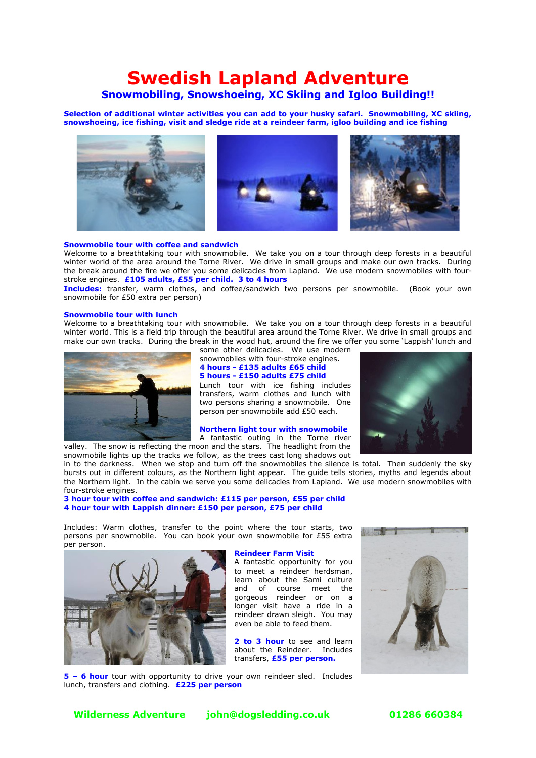# **Swedish Lapland Adventure**

### **Snowmobiling, Snowshoeing, XC Skiing and Igloo Building!!**

**Selection of additional winter activities you can add to your husky safari. Snowmobiling, XC skiing, snowshoeing, ice fishing, visit and sledge ride at a reindeer farm, igloo building and ice fishing**



#### **Snowmobile tour with coffee and sandwich**

Welcome to a breathtaking tour with snowmobile. We take you on a tour through deep forests in a beautiful winter world of the area around the Torne River. We drive in small groups and make our own tracks. During the break around the fire we offer you some delicacies from Lapland. We use modern snowmobiles with fourstroke engines. **£105 adults, £55 per child. 3 to 4 hours**

**Includes:** transfer, warm clothes, and coffee/sandwich two persons per snowmobile. (Book your own snowmobile for £50 extra per person)

#### **Snowmobile tour with lunch**

Welcome to a breathtaking tour with snowmobile. We take you on a tour through deep forests in a beautiful winter world. This is a field trip through the beautiful area around the Torne River. We drive in small groups and make our own tracks. During the break in the wood hut, around the fire we offer you some 'Lappish' lunch and



some other delicacies. We use modern snowmobiles with four-stroke engines. **4 hours - £135 adults £65 child 5 hours - £150 adults £75 child** Lunch tour with ice fishing includes transfers, warm clothes and lunch with two persons sharing a snowmobile. One person per snowmobile add £50 each.

#### **Northern light tour with snowmobile**

A fantastic outing in the Torne river valley. The snow is reflecting the moon and the stars. The headlight from the snowmobile lights up the tracks we follow, as the trees cast long shadows out



in to the darkness. When we stop and turn off the snowmobiles the silence is total. Then suddenly the sky bursts out in different colours, as the Northern light appear. The guide tells stories, myths and legends about the Northern light. In the cabin we serve you some delicacies from Lapland. We use modern snowmobiles with four-stroke engines.

#### **3 hour tour with coffee and sandwich: £115 per person, £55 per child 4 hour tour with Lappish dinner: £150 per person, £75 per child**

Includes: Warm clothes, transfer to the point where the tour starts, two persons per snowmobile. You can book your own snowmobile for £55 extra per person.



**Reindeer Farm Visit**

A fantastic opportunity for you to meet a reindeer herdsman, learn about the Sami culture and of course meet the gorgeous reindeer or on a longer visit have a ride in a reindeer drawn sleigh. You may even be able to feed them.

2 to 3 hour to see and learn about the Reindeer. Includes transfers, **£55 per person.**



**5 – 6 hour** tour with opportunity to drive your own reindeer sled. Includes lunch, transfers and clothing. **£225 per person**